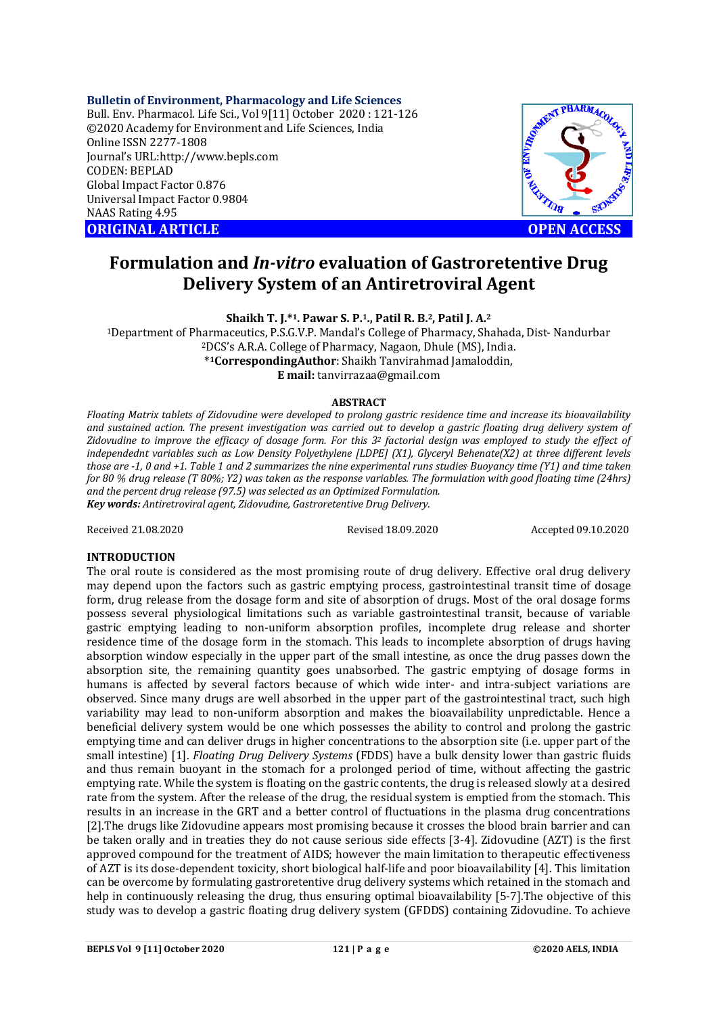#### **Bulletin of Environment, Pharmacology and Life Sciences**

Bull. Env. Pharmacol. Life Sci., Vol 9[11] October 2020 : 121-126 ©2020 Academy for Environment and Life Sciences, India Online ISSN 2277-1808 Journal's URL:<http://www.bepls.com> CODEN: BEPLAD Global Impact Factor 0.876 Universal Impact Factor 0.9804 NAAS Rating 4.95 **ORIGINAL ARTICLE OPEN ACCESS** 



# **Formulation and** *In-vitro* **evaluation of Gastroretentive Drug Delivery System of an Antiretroviral Agent**

**Shaikh T. J.\*1. Pawar S. P.1., Patil R. B.2, Patil J. A.<sup>2</sup>**

<sup>1</sup>Department of Pharmaceutics, P.S.G.V.P. Mandal's College of Pharmacy, Shahada, Dist- Nandurbar <sup>2</sup>DCS's A.R.A. College of Pharmacy, Nagaon, Dhule (MS), India. \* **<sup>1</sup>CorrespondingAuthor**: Shaikh Tanvirahmad Jamaloddin, **E mail:** [tanvirrazaa@gmail.com](mailto:tanvirrazaa@gmail.com)

#### **ABSTRACT**

*Floating Matrix tablets of Zidovudine were developed to prolong gastric residence time and increase its bioavailability and sustained action. The present investigation was carried out to develop a gastric floating drug delivery system of Zidovudine to improve the efficacy of dosage form. For this 3<sup>2</sup> factorial design was employed to study the effect of independednt variables such as Low Density Polyethylene [LDPE] (X1), Glyceryl Behenate(X2) at three different levels those are -1, 0 and +1. Table 1 and 2 summarizes the nine experimental runs studies. Buoyancy time (Y1) and time taken for 80 % drug release (T 80%; Y2) was taken as the response variables. The formulation with good floating time (24hrs) and the percent drug release (97.5) was selected as an Optimized Formulation. Key words: Antiretroviral agent, Zidovudine, Gastroretentive Drug Delivery.*

Received 21.08.2020 Revised 18.09.2020 Accepted 09.10.2020

#### **INTRODUCTION**

The oral route is considered as the most promising route of drug delivery. Effective oral drug delivery may depend upon the factors such as gastric emptying process, gastrointestinal transit time of dosage form, drug release from the dosage form and site of absorption of drugs. Most of the oral dosage forms possess several physiological limitations such as variable gastrointestinal transit, because of variable gastric emptying leading to non-uniform absorption profiles, incomplete drug release and shorter residence time of the dosage form in the stomach. This leads to incomplete absorption of drugs having absorption window especially in the upper part of the small intestine, as once the drug passes down the absorption site, the remaining quantity goes unabsorbed. The gastric emptying of dosage forms in humans is affected by several factors because of which wide inter- and intra-subject variations are observed. Since many drugs are well absorbed in the upper part of the gastrointestinal tract, such high variability may lead to non-uniform absorption and makes the bioavailability unpredictable. Hence a beneficial delivery system would be one which possesses the ability to control and prolong the gastric emptying time and can deliver drugs in higher concentrations to the absorption site (i.e. upper part of the small intestine) [1]. *Floating Drug Delivery Systems* (FDDS) have a bulk density lower than gastric fluids and thus remain buoyant in the stomach for a prolonged period of time, without affecting the gastric emptying rate. While the system is floating on the gastric contents, the drug is released slowly at a desired rate from the system. After the release of the drug, the residual system is emptied from the stomach. This results in an increase in the GRT and a better control of fluctuations in the plasma drug concentrations [2].The drugs like Zidovudine appears most promising because it crosses the blood brain barrier and can be taken orally and in treaties they do not cause serious side effects [3-4]. Zidovudine (AZT) is the first approved compound for the treatment of AIDS; however the main limitation to therapeutic effectiveness of AZT is its dose-dependent toxicity, short biological half-life and poor bioavailability [4]. This limitation can be overcome by formulating gastroretentive drug delivery systems which retained in the stomach and help in continuously releasing the drug, thus ensuring optimal bioavailability [5-7].The objective of this study was to develop a gastric floating drug delivery system (GFDDS) containing Zidovudine. To achieve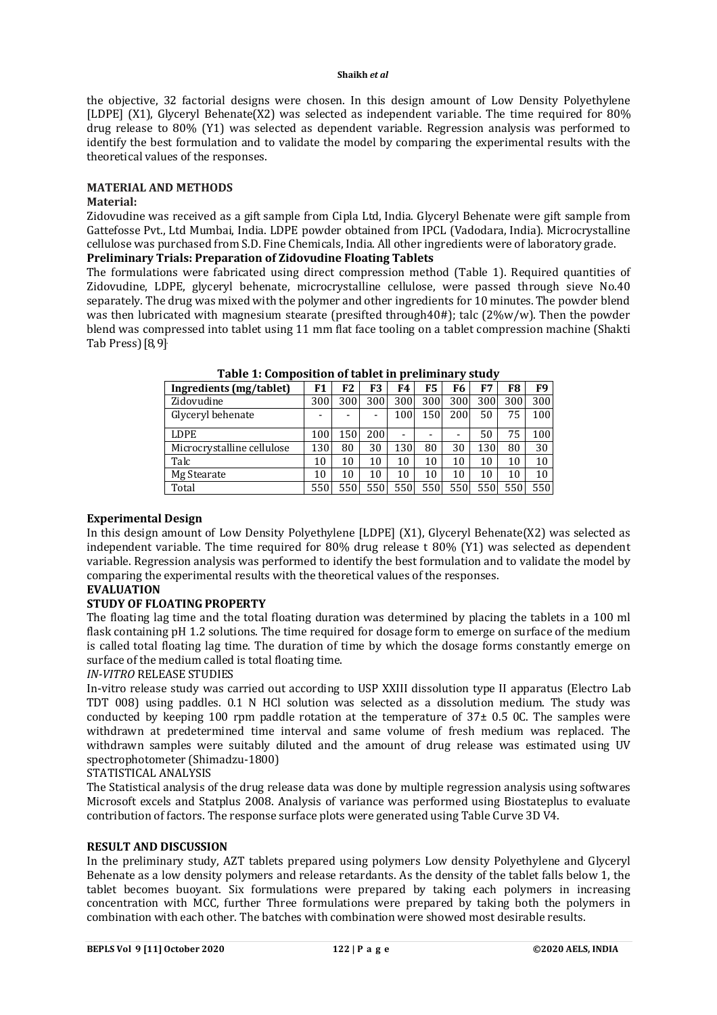the objective, 32 factorial designs were chosen. In this design amount of Low Density Polyethylene [LDPE] (X1), Glyceryl Behenate(X2) was selected as independent variable. The time required for 80% drug release to 80% (Y1) was selected as dependent variable. Regression analysis was performed to identify the best formulation and to validate the model by comparing the experimental results with the theoretical values of the responses.

#### **MATERIAL AND METHODS**

#### **Material:**

Zidovudine was received as a gift sample from Cipla Ltd, India. Glyceryl Behenate were gift sample from Gattefosse Pvt., Ltd Mumbai, India. LDPE powder obtained from IPCL (Vadodara, India). Microcrystalline cellulose was purchased from S.D. Fine Chemicals, India. All other ingredients were of laboratory grade.

## **Preliminary Trials: Preparation of Zidovudine Floating Tablets**

The formulations were fabricated using direct compression method (Table 1). Required quantities of Zidovudine, LDPE, glyceryl behenate, microcrystalline cellulose, were passed through sieve No.40 separately. The drug was mixed with the polymer and other ingredients for 10 minutes. The powder blend was then lubricated with magnesium stearate (presifted through40#); talc (2%w/w). Then the powder blend was compressed into tablet using 11 mm flat face tooling on a tablet compression machine (Shakti Tab Press)[8, 9].

| Ingredients (mg/tablet)    | F1  | F2  | F3                       | F4                       | F5                       | F6             | F7  | F8  | F9  |
|----------------------------|-----|-----|--------------------------|--------------------------|--------------------------|----------------|-----|-----|-----|
| Zidovudine                 | 300 | 300 | 300                      | 300                      | 300                      | 300            | 300 | 300 | 300 |
| Glyceryl behenate          |     |     | $\overline{\phantom{0}}$ | 100                      | 150                      | 200            | 50  | 75  | 100 |
| <b>LDPE</b>                | 100 | 150 | 200                      | $\overline{\phantom{0}}$ | $\overline{\phantom{0}}$ | $\overline{a}$ | 50  | 75  | 100 |
| Microcrystalline cellulose | 130 | 80  | 30                       | 130                      | 80                       | 30             | 130 | 80  | 30  |
| Talc                       | 10  | 10  | 10                       | 10                       | 10                       | 10             | 10  | 10  | 10  |
| Mg Stearate                | 10  | 10  | 10                       | 10                       | 10                       | 10             | 10  | 10  | 10  |
| Total                      | 550 | 550 | 550                      | 550                      | 550                      | 550            | 550 | 550 | 550 |

#### **Experimental Design**

In this design amount of Low Density Polyethylene [LDPE] (X1), Glyceryl Behenate(X2) was selected as independent variable. The time required for 80% drug release t 80% (Y1) was selected as dependent variable. Regression analysis was performed to identify the best formulation and to validate the model by comparing the experimental results with the theoretical values of the responses.

# **EVALUATION**

#### **STUDY OF FLOATING PROPERTY**

The floating lag time and the total floating duration was determined by placing the tablets in a 100 ml flask containing pH 1.2 solutions. The time required for dosage form to emerge on surface of the medium is called total floating lag time. The duration of time by which the dosage forms constantly emerge on surface of the medium called is total floating time.

#### *IN-VITRO* RELEASE STUDIES

In-vitro release study was carried out according to USP XXIII dissolution type II apparatus (Electro Lab TDT 008) using paddles. 0.1 N HCl solution was selected as a dissolution medium. The study was conducted by keeping 100 rpm paddle rotation at the temperature of  $37\pm 0.5$  0C. The samples were withdrawn at predetermined time interval and same volume of fresh medium was replaced. The withdrawn samples were suitably diluted and the amount of drug release was estimated using UV spectrophotometer (Shimadzu-1800)

#### STATISTICAL ANALYSIS

The Statistical analysis of the drug release data was done by multiple regression analysis using softwares Microsoft excels and Statplus 2008. Analysis of variance was performed using Biostateplus to evaluate contribution of factors. The response surface plots were generated using Table Curve 3D V4.

#### **RESULT AND DISCUSSION**

In the preliminary study, AZT tablets prepared using polymers Low density Polyethylene and Glyceryl Behenate as a low density polymers and release retardants. As the density of the tablet falls below 1, the tablet becomes buoyant. Six formulations were prepared by taking each polymers in increasing concentration with MCC, further Three formulations were prepared by taking both the polymers in combination with each other. The batches with combination were showed most desirable results.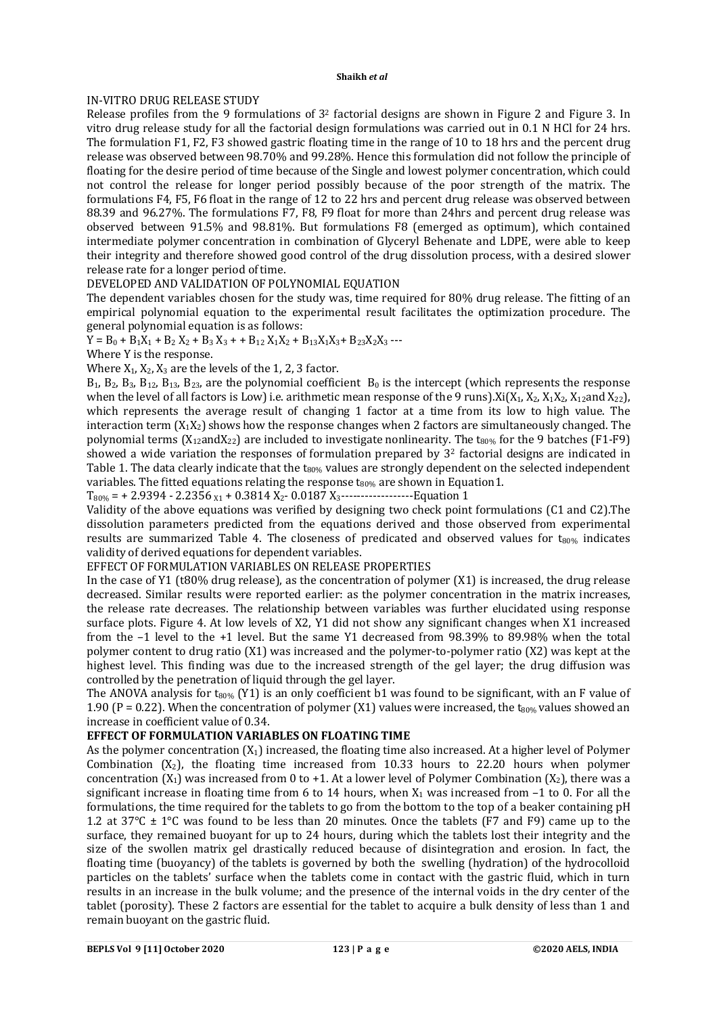### IN-VITRO DRUG RELEASE STUDY

Release profiles from the 9 formulations of 3<sup>2</sup> factorial designs are shown in Figure 2 and Figure 3. In vitro drug release study for all the factorial design formulations was carried out in 0.1 N HCl for 24 hrs. The formulation F1, F2, F3 showed gastric floating time in the range of 10 to 18 hrs and the percent drug release was observed between 98.70% and 99.28%. Hence this formulation did not follow the principle of floating for the desire period of time because of the Single and lowest polymer concentration, which could not control the release for longer period possibly because of the poor strength of the matrix. The formulations F4, F5, F6 float in the range of 12 to 22 hrs and percent drug release was observed between 88.39 and 96.27%. The formulations F7, F8, F9 float for more than 24hrs and percent drug release was observed between 91.5% and 98.81%. But formulations F8 (emerged as optimum), which contained intermediate polymer concentration in combination of Glyceryl Behenate and LDPE, were able to keep their integrity and therefore showed good control of the drug dissolution process, with a desired slower release rate for a longer period of time.

#### DEVELOPED AND VALIDATION OF POLYNOMIAL EQUATION

The dependent variables chosen for the study was, time required for 80% drug release. The fitting of an empirical polynomial equation to the experimental result facilitates the optimization procedure. The general polynomial equation is as follows:

 $Y = B_0 + B_1X_1 + B_2X_2 + B_3X_3 + B_12X_1X_2 + B_13X_1X_3 + B_23X_2X_3$  ---

Where Y is the response.

Where  $X_1, X_2, X_3$  are the levels of the 1, 2, 3 factor.

 $B_1$ ,  $B_2$ ,  $B_3$ ,  $B_{12}$ ,  $B_{13}$ ,  $B_{23}$ , are the polynomial coefficient  $B_0$  is the intercept (which represents the response when the level of all factors is Low) i.e. arithmetic mean response of the 9 runs). $X_i(X_1, X_2, X_1X_2, X_1Z_2, X_2Z_1)$ which represents the average result of changing 1 factor at a time from its low to high value. The interaction term  $(X_1X_2)$  shows how the response changes when 2 factors are simultaneously changed. The polynomial terms  $(X_{12}$ and $X_{22}$ ) are included to investigate nonlinearity. The t<sub>80%</sub> for the 9 batches (F1-F9) showed a wide variation the responses of formulation prepared by  $3<sup>2</sup>$  factorial designs are indicated in Table 1. The data clearly indicate that the t<sub>80%</sub> values are strongly dependent on the selected independent variables. The fitted equations relating the response  $t_{80\%}$  are shown in Equation1.

 $T_{80\%}$  = + 2.9394 - 2.2356  $x_1$  + 0.3814  $X_2$ - 0.0187  $X_3$ ----------------------Equation 1

Validity of the above equations was verified by designing two check point formulations (C1 and C2).The dissolution parameters predicted from the equations derived and those observed from experimental results are summarized Table 4. The closeness of predicated and observed values for  $t_{80\%}$  indicates validity of derived equations for dependent variables.

#### EFFECT OF FORMULATION VARIABLES ON RELEASE PROPERTIES

In the case of Y1 (t80% drug release), as the concentration of polymer (X1) is increased, the drug release decreased. Similar results were reported earlier: as the polymer concentration in the matrix increases, the release rate decreases. The relationship between variables was further elucidated using response surface plots. Figure 4. At low levels of X2, Y1 did not show any significant changes when X1 increased from the –1 level to the +1 level. But the same Y1 decreased from 98.39% to 89.98% when the total polymer content to drug ratio (X1) was increased and the polymer-to-polymer ratio (X2) was kept at the highest level. This finding was due to the increased strength of the gel layer; the drug diffusion was controlled by the penetration of liquid through the gel layer.

The ANOVA analysis for t<sub>80%</sub> (Y1) is an only coefficient b1 was found to be significant, with an F value of 1.90 (P = 0.22). When the concentration of polymer (X1) values were increased, the t<sub>80%</sub> values showed an increase in coefficient value of 0.34.

#### **EFFECT OF FORMULATION VARIABLES ON FLOATING TIME**

As the polymer concentration  $(X_1)$  increased, the floating time also increased. At a higher level of Polymer Combination  $(X_2)$ , the floating time increased from 10.33 hours to 22.20 hours when polymer concentration  $(X_1)$  was increased from 0 to +1. At a lower level of Polymer Combination  $(X_2)$ , there was a significant increase in floating time from 6 to 14 hours, when  $X_1$  was increased from  $-1$  to 0. For all the formulations, the time required for the tablets to go from the bottom to the top of a beaker containing pH 1.2 at 37 $\degree$ C  $\pm$  1 $\degree$ C was found to be less than 20 minutes. Once the tablets (F7 and F9) came up to the surface, they remained buoyant for up to 24 hours, during which the tablets lost their integrity and the size of the swollen matrix gel drastically reduced because of disintegration and erosion. In fact, the floating time (buoyancy) of the tablets is governed by both the swelling (hydration) of the hydrocolloid particles on the tablets' surface when the tablets come in contact with the gastric fluid, which in turn results in an increase in the bulk volume; and the presence of the internal voids in the dry center of the tablet (porosity). These 2 factors are essential for the tablet to acquire a bulk density of less than 1 and remain buoyant on the gastric fluid.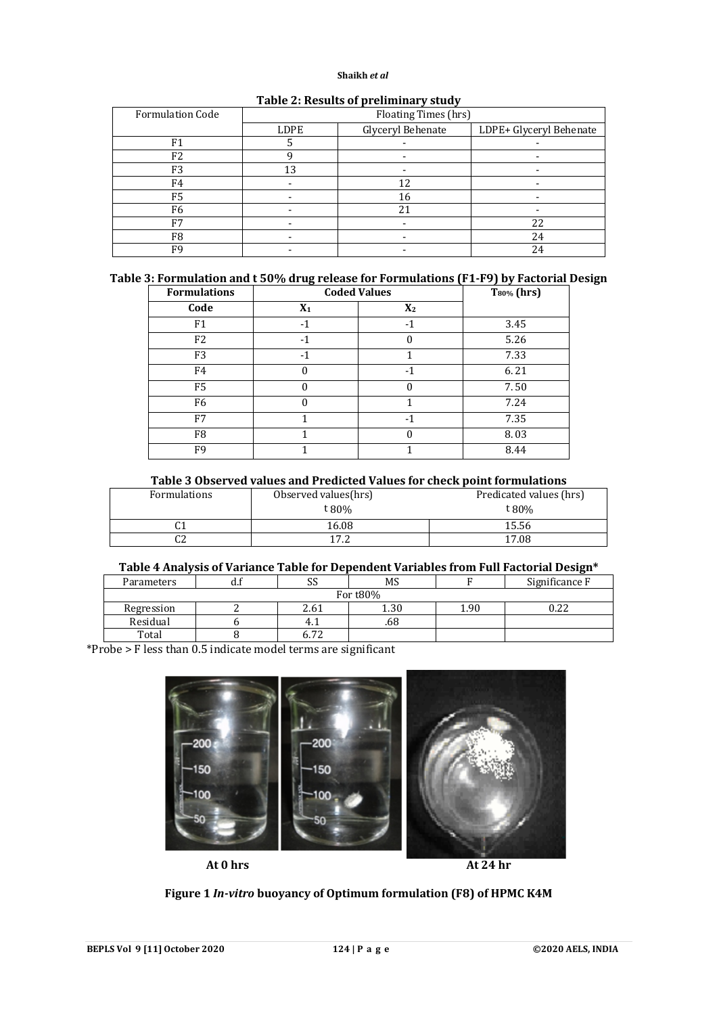| <b>Formulation Code</b> | Floating Times (hrs) |                   |                         |  |  |  |
|-------------------------|----------------------|-------------------|-------------------------|--|--|--|
|                         | LDPE                 | Glyceryl Behenate | LDPE+ Glyceryl Behenate |  |  |  |
| F <sub>1</sub>          |                      |                   |                         |  |  |  |
| F2                      |                      |                   |                         |  |  |  |
| F3                      | 13                   |                   |                         |  |  |  |
| F4                      |                      | 12                |                         |  |  |  |
| F <sub>5</sub>          |                      | 16                |                         |  |  |  |
| F <sub>6</sub>          |                      | 21                |                         |  |  |  |
| F7                      |                      |                   | 22                      |  |  |  |
| F <sub>8</sub>          |                      |                   | 24                      |  |  |  |
| F9                      |                      |                   | 24                      |  |  |  |

#### **Table 2: Results of preliminary study**

# **Table 3: Formulation and t 50% drug release for Formulations (F1-F9) by Factorial Design**

| <b>Formulations</b> | <b>Coded Values</b> |                | $T_{80\%}$ (hrs) |
|---------------------|---------------------|----------------|------------------|
| Code                | $X_1$               | X <sub>2</sub> |                  |
| F1                  | $-1$                | $-1$           | 3.45             |
| F2                  | -1                  |                | 5.26             |
| F <sub>3</sub>      | -1                  |                | 7.33             |
| F4                  | 0                   | $-1$           | 6.21             |
| F5                  |                     |                | 7.50             |
| F <sub>6</sub>      |                     |                | 7.24             |
| F7                  |                     | $-1$           | 7.35             |
| F8                  |                     | 0              | 8.03             |
| F9                  |                     |                | 8.44             |

#### **Table 3 Observed values and Predicted Values for check point formulations**

| Formulations | Observed values(hrs) | Predicated values (hrs) |
|--------------|----------------------|-------------------------|
|              | t 80%                | t 80%                   |
| r 1<br>u     | 16.08                | 15.56                   |
| rn<br>uΖ     | 17 ງ                 | 17.08                   |

#### **Table 4 Analysis of Variance Table for Dependent Variables from Full Factorial Design\***

| Parameters | uu | ບບ          | MS   |      | Significance F |  |
|------------|----|-------------|------|------|----------------|--|
| For t80%   |    |             |      |      |                |  |
| Regression |    | 2.61        | 1.30 | 90.، | 0.22           |  |
| Residual   |    | 4.1         | .68  |      |                |  |
| Total      |    | $-$<br>0.72 |      |      |                |  |

\*Probe > F less than 0.5 indicate model terms are significant



**Figure 1** *In-vitro* **buoyancy of Optimum formulation (F8) of HPMC K4M**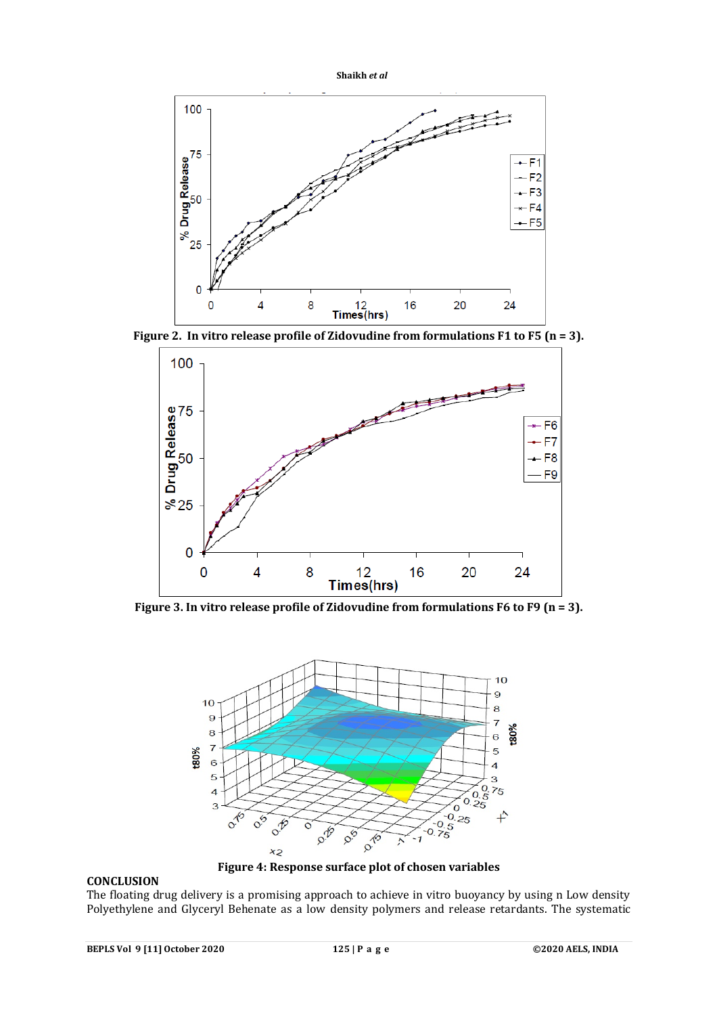



**Figure 2. In vitro release profile of Zidovudine from formulations F1 to F5 (n = 3).**



**Figure 3. In vitro release profile of Zidovudine from formulations F6 to F9 (n = 3).**



# **CONCLUSION**

**Figure 4: Response surface plot of chosen variables**

The floating drug delivery is a promising approach to achieve in vitro buoyancy by using n Low density Polyethylene and Glyceryl Behenate as a low density polymers and release retardants. The systematic